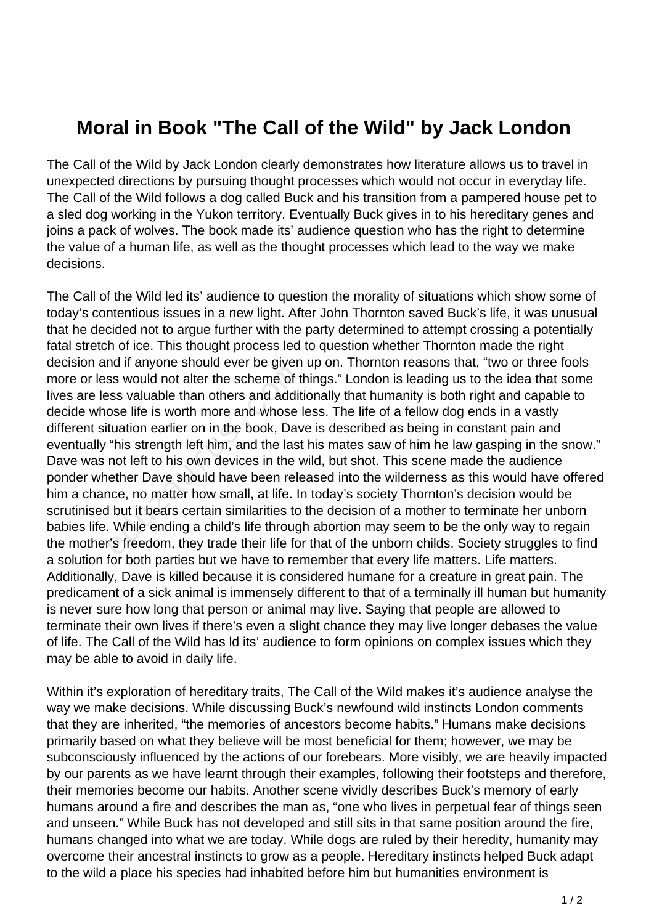## **Moral in Book "The Call of the Wild" by Jack London**

The Call of the Wild by Jack London clearly demonstrates how literature allows us to travel in unexpected directions by pursuing thought processes which would not occur in everyday life. The Call of the Wild follows a dog called Buck and his transition from a pampered house pet to a sled dog working in the Yukon territory. Eventually Buck gives in to his hereditary genes and joins a pack of wolves. The book made its' audience question who has the right to determine the value of a human life, as well as the thought processes which lead to the way we make decisions.

The Call of the Wild led its' audience to question the morality of situations which show some of today's contentious issues in a new light. After John Thornton saved Buck's life, it was unusual that he decided not to argue further with the party determined to attempt crossing a potentially fatal stretch of ice. This thought process led to question whether Thornton made the right decision and if anyone should ever be given up on. Thornton reasons that, "two or three fools more or less would not alter the scheme of things." London is leading us to the idea that some lives are less valuable than others and additionally that humanity is both right and capable to decide whose life is worth more and whose less. The life of a fellow dog ends in a vastly different situation earlier on in the book, Dave is described as being in constant pain and eventually "his strength left him, and the last his mates saw of him he law gasping in the snow." Dave was not left to his own devices in the wild, but shot. This scene made the audience ponder whether Dave should have been released into the wilderness as this would have offered him a chance, no matter how small, at life. In today's society Thornton's decision would be scrutinised but it bears certain similarities to the decision of a mother to terminate her unborn babies life. While ending a child's life through abortion may seem to be the only way to regain the mother's freedom, they trade their life for that of the unborn childs. Society struggles to find a solution for both parties but we have to remember that every life matters. Life matters. Additionally, Dave is killed because it is considered humane for a creature in great pain. The predicament of a sick animal is immensely different to that of a terminally ill human but humanity is never sure how long that person or animal may live. Saying that people are allowed to terminate their own lives if there's even a slight chance they may live longer debases the value of life. The Call of the Wild has ld its' audience to form opinions on complex issues which they may be able to avoid in daily life. educed than others are of the scheme of the scheme of the scheme of the scheme of the scheme of the scheme of the scheme intuation earlier on in the book, Dav "his strength left him, and the last not left to his own device

Within it's exploration of hereditary traits, The Call of the Wild makes it's audience analyse the way we make decisions. While discussing Buck's newfound wild instincts London comments that they are inherited, "the memories of ancestors become habits." Humans make decisions primarily based on what they believe will be most beneficial for them; however, we may be subconsciously influenced by the actions of our forebears. More visibly, we are heavily impacted by our parents as we have learnt through their examples, following their footsteps and therefore, their memories become our habits. Another scene vividly describes Buck's memory of early humans around a fire and describes the man as, "one who lives in perpetual fear of things seen and unseen." While Buck has not developed and still sits in that same position around the fire, humans changed into what we are today. While dogs are ruled by their heredity, humanity may overcome their ancestral instincts to grow as a people. Hereditary instincts helped Buck adapt to the wild a place his species had inhabited before him but humanities environment is